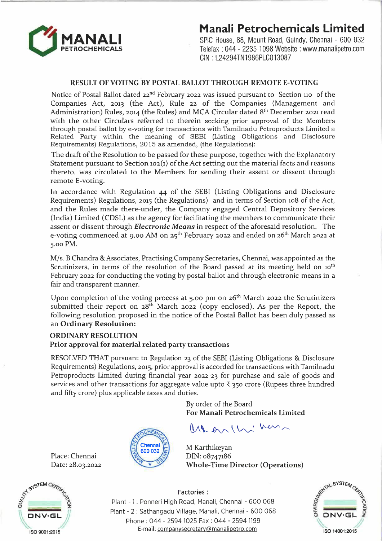

## **Manali Petrochemicals Limited**

SPIC House, 88, Mount Road, Guindy, Chennai - 600 032 Telefax : 044 - 2235 1098 Website: www.manalipetro.com CIN : L24294TN1986PLC013087

### **RESULT OF VOTING BY POSTAL BALLOT THROUGH REMOTE E-VOTING**

Notice of Postal Ballot dated 22<sup>nd</sup> February 2022 was issued pursuant to Section 110 of the Companies Act, 2013 (the Act), Rule 22 of the Companies (Management and Administration) Rules, 2014 (the Rules) and MCA Circular dated 8<sup>th</sup> December 2021 read with the other Circulars referred to therein seeking prior approval of the Members through postal ballot bye-voting for transactions with Tamilnadu Petroproducts Limited <sup>a</sup> Related Party within the meaning of SEBI (Listing Obligations and Disclosure Requirements) Regulations, 2015 as amended, (the Regulations):

The draft of the Resolution to be passed for these purpose, together with the Explanatory Statement pursuant to Section 102(1) of the Act setting out the material facts and reasons thereto, was circulated to the Members for sending their assent or dissent through remote E-voting.

In accordance with Regulation 44 of the SEBI (Listing Obligations and Disclosure Requirements) Regulations, 2015 (the Regulations) and in terms of Section 108 of the Act, and the Rules made there-under, the Company engaged Central Depository Services (India) Limited (CDSL) as the agency for facilitating the members to communicate their assent or dissent through *Electronic Means* in respect of the aforesaid resolution. The e-voting commenced at 9.00 AM on 25<sup>th</sup> February 2022 and ended on 26<sup>th</sup> March 2022 at 5.00 PM.

M/s. B Chandra & Associates, Practising Company Secretaries, Chennai, was appointed as the Scrutinizers, in terms of the resolution of the Board passed at its meeting held on 10<sup>th</sup> February 2022 for conducting the voting by postal ballot and through electronic means in a fair and transparent manner.

Upon completion of the voting process at 5.00 pm on 26<sup>th</sup> March 2022 the Scrutinizers submitted their report on 28<sup>th</sup> March 2022 (copy enclosed). As per the Report, the following resolution proposed in the notice of the Postal Ballot has been duly passed as an **Ordinary Resolution:** 

## **ORDINARY RESOLUTION Prior approval for material related party transactions**

Chennai

RESOLVED THAT pursuant to Regulation 23 of the SEBI (Listing Obligations & Disclosure Requirements) Regulations, 2015, prior approval is accorded for transactions with Tamilnadu Petroproducts Limited during financial year 2022-23 for purchase and sale of goods and services and other transactions for aggregate value upto  $\bar{\tau}$  350 crore (Rupees three hundred and fifty crore) plus applicable taxes and duties.

> By order of the Board **For Manali Petrochemicals Limited**

 $M_{\rm{max}}$ 

M Karthikeyan DIN: 08747186 **Whole-Time Director (Operations)** 



Place: Chennai Date: 28.03.2022



600 032

Factories:

Plant - 1 : Ponneri High Road, Manali, Chennai - 600 068 Plant - 2 : Sathangadu Village, Manali, Chennai - 600 068 Phone : 044 - 2594 1025 Fax : 044 - 2594 1199 E-mail: companysecretary@manalipetro.com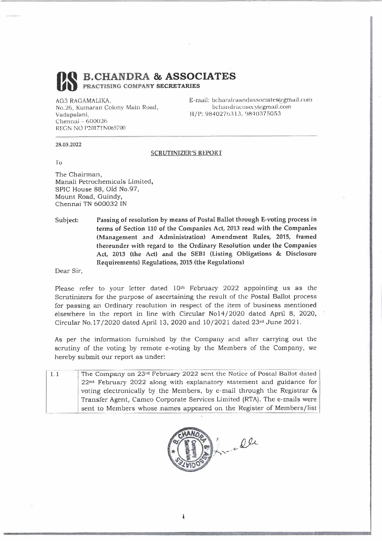OS **B.CH.ANDRA & ASSOCIATES PRACTISING COMPANY SECRETARIES** 

AG3 RAGAMALIKA. No.26, Kumaran Colony Main Road, Vadapalani, Chennai - 600026 REGN NO P2017I'N065700

E-mail: bchandraandassociates@gmail.com bchandracosecv@gmail.com H/P:9840270313. 9840375053

#### 28.03.2022

#### **SCRUTINIZER'S REPORT**

To

The Chairman, Manali Petrochemicals Limited, SPIC House 88, Old No.97, Mount Road, Guindy, Chennai TN 600032 IN

Subject: Passing of resolution by means of Postal Ballot through E-voting process in terms of Section 110 of the Companies Act, 2013 read with the Companies (Management and Administration) Amendment Rules, 2015, framed thereunder with regard to the Ordinary Resolution under the Companies Act, 2013 (the Act) and the SEBI (Listing Obligations & Disclosure Requirements) Regulations, 2015 (the Regulations)

Dear Sir,

Please refer to your letter dated 10<sup>th</sup> February 2022 appointing us as the Scrutinizers for the purpose of ascertaining the result of the Postal Ballot process for passing an Ordinary resolution in respect of the item of business mentioned elsewhere in the report in line with Circular Nol4/2020 dated April 8, 2020, Circular No.17/2020 dated April 13, 2020 and  $10/2021$  dated  $23<sup>rd</sup>$  June 2021.

As per the information furnished by the Company and after carrying out the scrutiny of the voting by remote e-voting by the Members of the Company, we hereby submit our report as under: ubmit our report as under:<br>The Company on 23<sup>rd</sup> February 2022 sent the Notice of Postal Ballot dated |

- 1.1 22nd February 2022 along with explanatory statement and guidance for voting electronically by the Members, by e-mail through the Registrar & Transfer Agent, Cameo Corporate Services Limited (RTA). The e-mails were sent to Members whose names appeared on the Register of Members/list

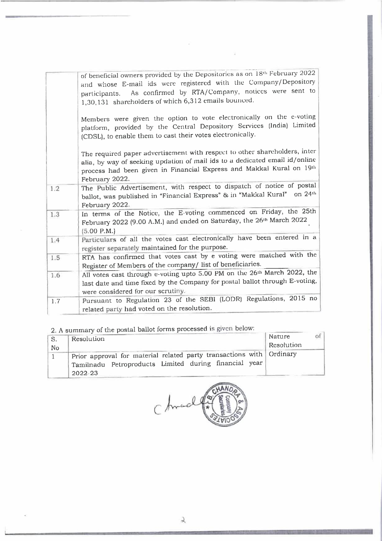|     | of beneficial owners provided by the Depositories as on 18th February 2022                                                                                                                                                                          |
|-----|-----------------------------------------------------------------------------------------------------------------------------------------------------------------------------------------------------------------------------------------------------|
|     | and whose E-mail ids were registered with the Company/Depository                                                                                                                                                                                    |
|     | participants. As confirmed by RTA/Company, notices were sent to<br>1,30,131 shareholders of which 6,312 emails bounced.                                                                                                                             |
|     | Members were given the option to vote electronically on the e-voting<br>platform, provided by the Central Depository Services (India) Limited<br>(CDSL), to enable them to cast their votes electronically.                                         |
|     | The required paper advertisement with respect to other shareholders, inter<br>alia, by way of seeking updation of mail ids to a dedicated email id/online<br>process had been given in Financial Express and Makkal Kural on 19th<br>February 2022. |
| 1.2 | The Public Advertisement, with respect to dispatch of notice of postal<br>ballot, was published in "Financial Express" & in "Makkal Kural" on 24th<br>February 2022.                                                                                |
| 1.3 | In terms of the Notice, the E-voting commenced on Friday, the 25th<br>February 2022 (9.00 A.M.) and cnded on Saturday, the 26 <sup>th</sup> March 2022<br>(5.00 P.M.)                                                                               |
| 1.4 | Particulars of all the votes cast electronically have been entered in a<br>register separately maintained for the purpose.                                                                                                                          |
| 1.5 | RTA has confirmed that votes cast by e voting were matched with the<br>Register of Members of the company/ list of beneficiaries.                                                                                                                   |
| 1.6 | All votes cast through e-voting upto 5.00 PM on the 26 <sup>th</sup> March 2022, the                                                                                                                                                                |
|     | last date and time fixed by the Company for postal ballot through E-voting,<br>were considered for our scrutiny.                                                                                                                                    |
| 1.7 | Pursuant to Regulation 23 of the SEBI (LODR) Regulations, 2015 no<br>related party had voted on the resolution.                                                                                                                                     |

 $\kappa$ 

2. A summary of the poslal ballot forms processed is given below:

| . S. | $\mathcal{L}_1$ , is given and in the case procedure in the<br>Resolution | of <sub>1</sub><br>Nature |
|------|---------------------------------------------------------------------------|---------------------------|
| No   |                                                                           | Resolution                |
|      | Prior approval for material related party transactions with Ordinary      |                           |
|      | Tamilnadu Petroproducts Limited during financial year                     |                           |
|      | 2022-23                                                                   |                           |

Chrod